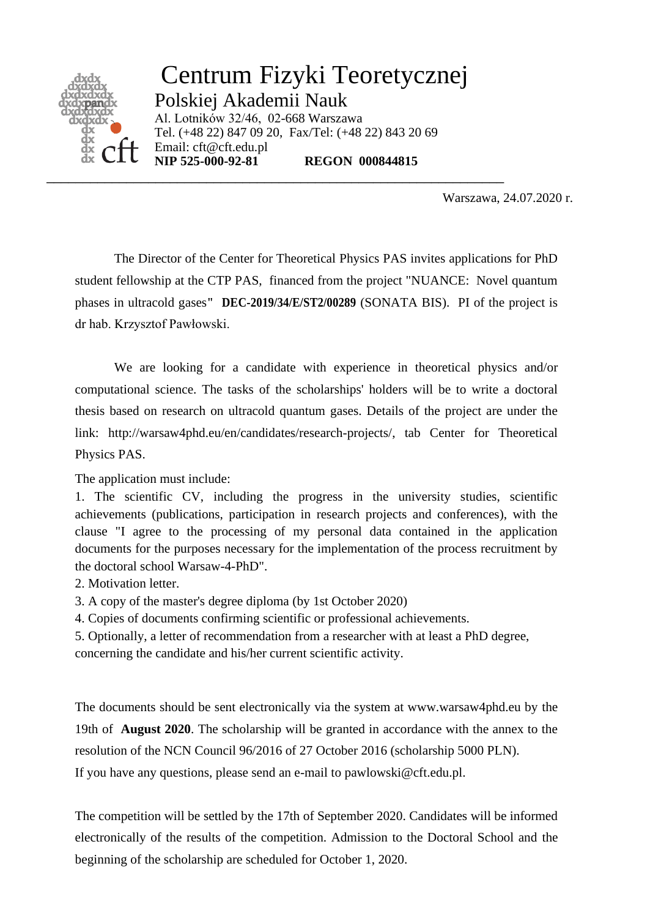

Warszawa, 24.07.2020 r.

The Director of the Center for Theoretical Physics PAS invites applications for PhD student fellowship at the CTP PAS, financed from the project "NUANCE: Novel quantum phases in ultracold gases**" DEC-2019/34/E/ST2/00289** (SONATA BIS). PI of the project is dr hab. Krzysztof Pawłowski.

We are looking for a candidate with experience in theoretical physics and/or computational science. The tasks of the scholarships' holders will be to write a doctoral thesis based on research on ultracold quantum gases. Details of the project are under the link: http://warsaw4phd.eu/en/candidates/research-projects/, tab Center for Theoretical Physics PAS.

The application must include:

1. The scientific CV, including the progress in the university studies, scientific achievements (publications, participation in research projects and conferences), with the clause "I agree to the processing of my personal data contained in the application documents for the purposes necessary for the implementation of the process recruitment by the doctoral school Warsaw-4-PhD".

2. Motivation letter.

3. A copy of the master's degree diploma (by 1st October 2020)

4. Copies of documents confirming scientific or professional achievements.

5. Optionally, a letter of recommendation from a researcher with at least a PhD degree, concerning the candidate and his/her current scientific activity.

The documents should be sent electronically via the system at www.warsaw4phd.eu by the 19th of **August 2020**. The scholarship will be granted in accordance with the annex to the resolution of the NCN Council 96/2016 of 27 October 2016 (scholarship 5000 PLN).

If you have any questions, please send an e-mail to pawlowski@cft.edu.pl.

The competition will be settled by the 17th of September 2020. Candidates will be informed electronically of the results of the competition. Admission to the Doctoral School and the beginning of the scholarship are scheduled for October 1, 2020.